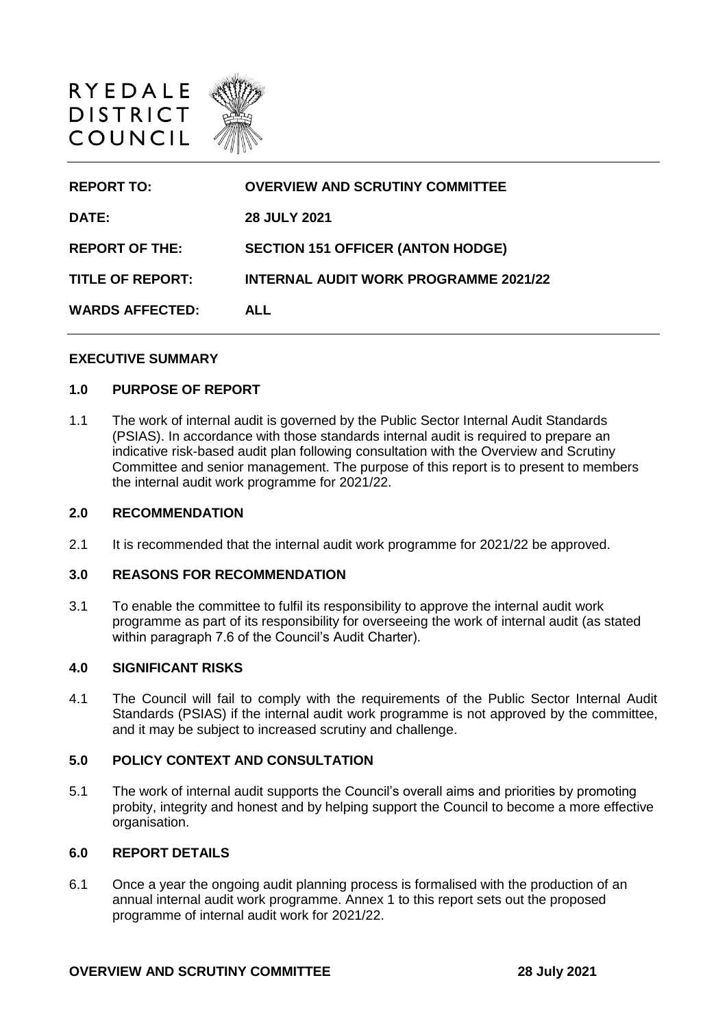

| <b>REPORT TO:</b>       | <b>OVERVIEW AND SCRUTINY COMMITTEE</b>       |
|-------------------------|----------------------------------------------|
| <b>DATE:</b>            | <b>28 JULY 2021</b>                          |
| <b>REPORT OF THE:</b>   | <b>SECTION 151 OFFICER (ANTON HODGE)</b>     |
| <b>TITLE OF REPORT:</b> | <b>INTERNAL AUDIT WORK PROGRAMME 2021/22</b> |
| <b>WARDS AFFECTED:</b>  | <b>ALL</b>                                   |

### **EXECUTIVE SUMMARY**

### **1.0 PURPOSE OF REPORT**

1.1 The work of internal audit is governed by the Public Sector Internal Audit Standards (PSIAS). In accordance with those standards internal audit is required to prepare an indicative risk-based audit plan following consultation with the Overview and Scrutiny Committee and senior management. The purpose of this report is to present to members the internal audit work programme for 2021/22.

#### **2.0 RECOMMENDATION**

2.1 It is recommended that the internal audit work programme for 2021/22 be approved.

#### **3.0 REASONS FOR RECOMMENDATION**

3.1 To enable the committee to fulfil its responsibility to approve the internal audit work programme as part of its responsibility for overseeing the work of internal audit (as stated within paragraph 7.6 of the Council's Audit Charter).

### **4.0 SIGNIFICANT RISKS**

4.1 The Council will fail to comply with the requirements of the Public Sector Internal Audit Standards (PSIAS) if the internal audit work programme is not approved by the committee, and it may be subject to increased scrutiny and challenge.

### **5.0 POLICY CONTEXT AND CONSULTATION**

5.1 The work of internal audit supports the Council's overall aims and priorities by promoting probity, integrity and honest and by helping support the Council to become a more effective organisation.

### **6.0 REPORT DETAILS**

6.1 Once a year the ongoing audit planning process is formalised with the production of an annual internal audit work programme. Annex 1 to this report sets out the proposed programme of internal audit work for 2021/22.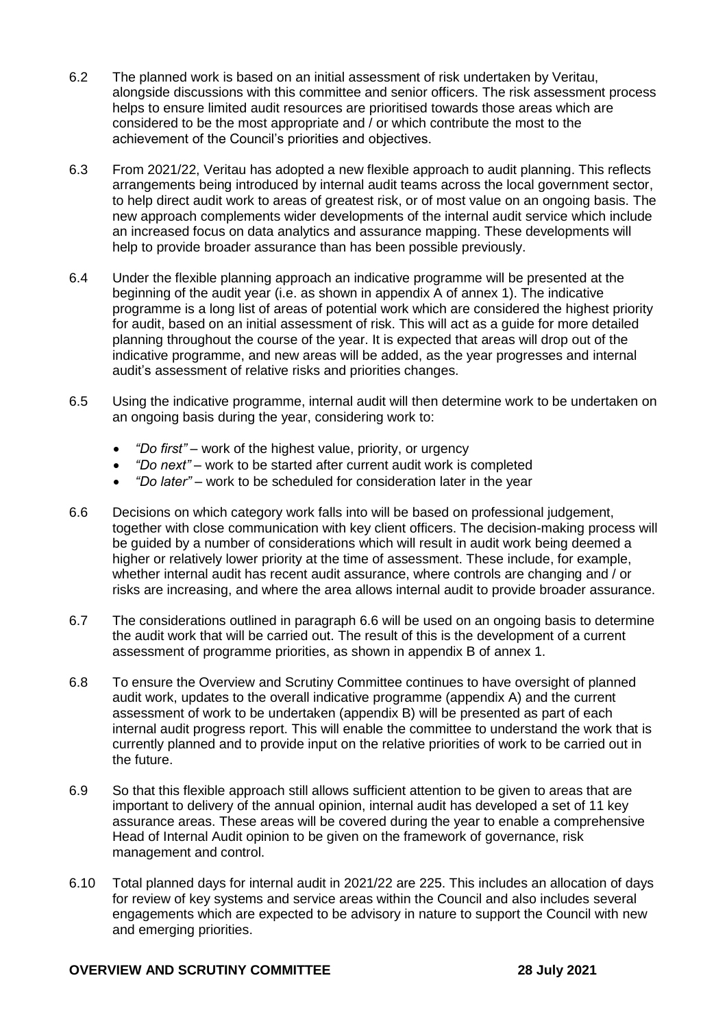- 6.2 The planned work is based on an initial assessment of risk undertaken by Veritau, alongside discussions with this committee and senior officers. The risk assessment process helps to ensure limited audit resources are prioritised towards those areas which are considered to be the most appropriate and / or which contribute the most to the achievement of the Council's priorities and objectives.
- 6.3 From 2021/22, Veritau has adopted a new flexible approach to audit planning. This reflects arrangements being introduced by internal audit teams across the local government sector, to help direct audit work to areas of greatest risk, or of most value on an ongoing basis. The new approach complements wider developments of the internal audit service which include an increased focus on data analytics and assurance mapping. These developments will help to provide broader assurance than has been possible previously.
- 6.4 Under the flexible planning approach an indicative programme will be presented at the beginning of the audit year (i.e. as shown in appendix A of annex 1). The indicative programme is a long list of areas of potential work which are considered the highest priority for audit, based on an initial assessment of risk. This will act as a guide for more detailed planning throughout the course of the year. It is expected that areas will drop out of the indicative programme, and new areas will be added, as the year progresses and internal audit's assessment of relative risks and priorities changes.
- 6.5 Using the indicative programme, internal audit will then determine work to be undertaken on an ongoing basis during the year, considering work to:
	- *"Do first"* work of the highest value, priority, or urgency
	- *"Do next"* work to be started after current audit work is completed
	- *"Do later"* work to be scheduled for consideration later in the year
- 6.6 Decisions on which category work falls into will be based on professional judgement, together with close communication with key client officers. The decision-making process will be guided by a number of considerations which will result in audit work being deemed a higher or relatively lower priority at the time of assessment. These include, for example, whether internal audit has recent audit assurance, where controls are changing and / or risks are increasing, and where the area allows internal audit to provide broader assurance.
- 6.7 The considerations outlined in paragraph 6.6 will be used on an ongoing basis to determine the audit work that will be carried out. The result of this is the development of a current assessment of programme priorities, as shown in appendix B of annex 1.
- 6.8 To ensure the Overview and Scrutiny Committee continues to have oversight of planned audit work, updates to the overall indicative programme (appendix A) and the current assessment of work to be undertaken (appendix B) will be presented as part of each internal audit progress report. This will enable the committee to understand the work that is currently planned and to provide input on the relative priorities of work to be carried out in the future.
- 6.9 So that this flexible approach still allows sufficient attention to be given to areas that are important to delivery of the annual opinion, internal audit has developed a set of 11 key assurance areas. These areas will be covered during the year to enable a comprehensive Head of Internal Audit opinion to be given on the framework of governance, risk management and control.
- 6.10 Total planned days for internal audit in 2021/22 are 225. This includes an allocation of days for review of key systems and service areas within the Council and also includes several engagements which are expected to be advisory in nature to support the Council with new and emerging priorities.

### **OVERVIEW AND SCRUTINY COMMITTEE 28 July 2021**